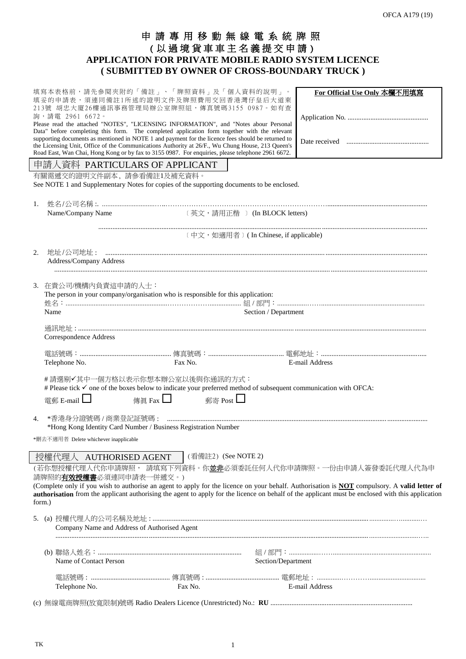# 申 請 專 用 移 動 無 線 電 系 統 牌 照 ( 以 過 境 貨 車 車 主 名 義 提 交 申 請 ) **APPLICATION FOR PRIVATE MOBILE RADIO SYSTEM LICENCE ( SUBMITTED BY OWNER OF CROSS-BOUNDARY TRUCK )**

|                                                                                                                                                              | 詢,請電 2961 6672。<br>有關需遞交的證明文件副本,請參看備註1及補充資料。                                                                                             | 填寫本表格前,請先參閱夾附的「備註」、「牌照資料」及「個人資料的說明」。<br>填妥的申請表,須連同備註1所述的證明文件及牌照費用交回香港灣仔皇后大道東<br>213號 胡忠大廈26樓通訊事務管理局辦公室牌照組,傳真號碼3155 0987。如有查<br>Please read the attached "NOTES", "LICENSING INFORMATION", and "Notes abour Personal<br>Data" before completing this form. The completed application form together with the relevant<br>supporting documents as mentioned in NOTE 1 and payment for the licence fees should be returned to<br>the Licensing Unit, Office of the Communications Authority at 26/F., Wu Chung House, 213 Queen's<br>Road East, Wan Chai, Hong Kong or by fax to 3155 0987. For enquiries, please telephone 2961 6672.<br>申請人資料 PARTICULARS OF APPLICANT<br>See NOTE 1 and Supplementary Notes for copies of the supporting documents to be enclosed. |                                        | For Official Use Only 本欄不用填寫                                                                                                                                                                                                                                                                                                                                                    |  |  |
|--------------------------------------------------------------------------------------------------------------------------------------------------------------|------------------------------------------------------------------------------------------------------------------------------------------|-------------------------------------------------------------------------------------------------------------------------------------------------------------------------------------------------------------------------------------------------------------------------------------------------------------------------------------------------------------------------------------------------------------------------------------------------------------------------------------------------------------------------------------------------------------------------------------------------------------------------------------------------------------------------------------------------------------------------------------------------------------------|----------------------------------------|---------------------------------------------------------------------------------------------------------------------------------------------------------------------------------------------------------------------------------------------------------------------------------------------------------------------------------------------------------------------------------|--|--|
| 1.                                                                                                                                                           | Name/Company Name                                                                                                                        |                                                                                                                                                                                                                                                                                                                                                                                                                                                                                                                                                                                                                                                                                                                                                                   | 〔英文,請用正楷 〕 (In BLOCK letters)          |                                                                                                                                                                                                                                                                                                                                                                                 |  |  |
|                                                                                                                                                              |                                                                                                                                          |                                                                                                                                                                                                                                                                                                                                                                                                                                                                                                                                                                                                                                                                                                                                                                   | 〔中文, 如適用者〕 (In Chinese, if applicable) |                                                                                                                                                                                                                                                                                                                                                                                 |  |  |
| 2.                                                                                                                                                           | Address/Company Address                                                                                                                  |                                                                                                                                                                                                                                                                                                                                                                                                                                                                                                                                                                                                                                                                                                                                                                   |                                        |                                                                                                                                                                                                                                                                                                                                                                                 |  |  |
|                                                                                                                                                              | 3. 在貴公司/機構内負責這申請的人士:<br>The person in your company/organisation who is responsible for this application:<br>Section / Department<br>Name |                                                                                                                                                                                                                                                                                                                                                                                                                                                                                                                                                                                                                                                                                                                                                                   |                                        |                                                                                                                                                                                                                                                                                                                                                                                 |  |  |
|                                                                                                                                                              | Correspondence Address                                                                                                                   |                                                                                                                                                                                                                                                                                                                                                                                                                                                                                                                                                                                                                                                                                                                                                                   |                                        |                                                                                                                                                                                                                                                                                                                                                                                 |  |  |
|                                                                                                                                                              | Telephone No.                                                                                                                            | Fax No.                                                                                                                                                                                                                                                                                                                                                                                                                                                                                                                                                                                                                                                                                                                                                           |                                        | E-mail Address                                                                                                                                                                                                                                                                                                                                                                  |  |  |
| #請選剔√其中一個方格以表示你想本辦公室以後與你通訊的方式:<br># Please tick $\checkmark$ one of the boxes below to indicate your preferred method of subsequent communication with OFCA: |                                                                                                                                          |                                                                                                                                                                                                                                                                                                                                                                                                                                                                                                                                                                                                                                                                                                                                                                   |                                        |                                                                                                                                                                                                                                                                                                                                                                                 |  |  |
|                                                                                                                                                              | 電郵 E-mail $\Box$                                                                                                                         | 郵寄 Post □<br>傳眞 Fax $\Box$                                                                                                                                                                                                                                                                                                                                                                                                                                                                                                                                                                                                                                                                                                                                        |                                        |                                                                                                                                                                                                                                                                                                                                                                                 |  |  |
| 4.                                                                                                                                                           | *刪去不適用者 Delete whichever inapplicable                                                                                                    | *Hong Kong Identity Card Number / Business Registration Number                                                                                                                                                                                                                                                                                                                                                                                                                                                                                                                                                                                                                                                                                                    |                                        |                                                                                                                                                                                                                                                                                                                                                                                 |  |  |
| form.)                                                                                                                                                       | 授權代理人 AUTHORISED AGENT<br>請牌照的 <mark>有效授權書</mark> 必須連同申請表一併遞交。)                                                                          | (看備註2) (See NOTE 2)                                                                                                                                                                                                                                                                                                                                                                                                                                                                                                                                                                                                                                                                                                                                               |                                        | (若你想授權代理人代你申請牌照, 請填寫下列資料。你 <b>並非</b> 必須委託任何人代你申請牌照。一份由申請人簽發委託代理人代為申<br>(Complete only if you wish to authorise an agent to apply for the licence on your behalf. Authorisation is <b>NOT</b> compulsory. A valid letter of<br>authorisation from the applicant authorising the agent to apply for the licence on behalf of the applicant must be enclosed with this application |  |  |
|                                                                                                                                                              |                                                                                                                                          | Company Name and Address of Authorised Agent                                                                                                                                                                                                                                                                                                                                                                                                                                                                                                                                                                                                                                                                                                                      |                                        |                                                                                                                                                                                                                                                                                                                                                                                 |  |  |
|                                                                                                                                                              | Name of Contact Person                                                                                                                   |                                                                                                                                                                                                                                                                                                                                                                                                                                                                                                                                                                                                                                                                                                                                                                   | Section/Department                     |                                                                                                                                                                                                                                                                                                                                                                                 |  |  |
|                                                                                                                                                              |                                                                                                                                          |                                                                                                                                                                                                                                                                                                                                                                                                                                                                                                                                                                                                                                                                                                                                                                   |                                        |                                                                                                                                                                                                                                                                                                                                                                                 |  |  |
|                                                                                                                                                              | Telephone No.                                                                                                                            | Fax No.                                                                                                                                                                                                                                                                                                                                                                                                                                                                                                                                                                                                                                                                                                                                                           |                                        | E-mail Address                                                                                                                                                                                                                                                                                                                                                                  |  |  |

(c) 無線電商牌照(放寬限制)號碼 Radio Dealers Licence (Unrestricted) No.: **RU** .................................................................................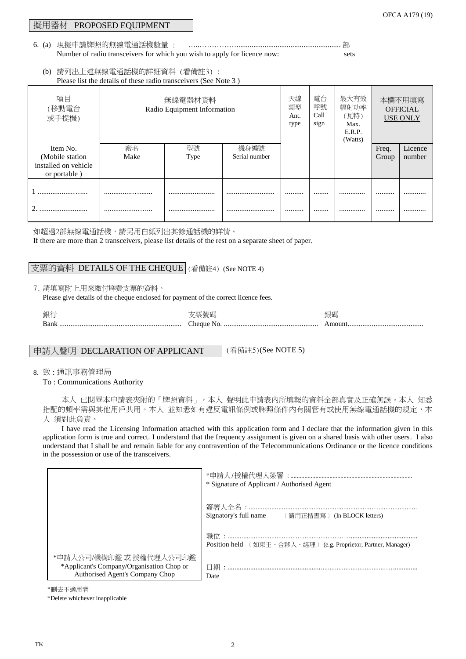## 擬用器材 PROPOSED EQUIPMENT

6. (a) 現擬申請牌照的無線電通話機數量 : ………………………………………………………………… 部 Number of radio transceivers for which you wish to apply for licence now: sets OFCA A179 (19)

(b) 請列出上述無線電通話機的詳細資料 (看備註3) : Please list the details of these radio transceivers (See Note 3 )

| 項目<br>(移動電台<br>或手提機)                 | 無線電器材資料<br>Radio Equipment Information |      | 天線<br>類型<br>Ant.<br>type | 電台<br>呼號<br>Call<br>sign | 最大有效<br>幅射功率<br>(瓦特)<br>Max.<br>E.R.P.<br>(Watts) | 本欄不用填寫<br><b>OFFICIAL</b><br><b>USE ONLY</b> |       |         |
|--------------------------------------|----------------------------------------|------|--------------------------|--------------------------|---------------------------------------------------|----------------------------------------------|-------|---------|
| Item No.                             | 廠名                                     | 型號   | 機身編號                     |                          |                                                   |                                              | Freq. | Licence |
| (Mobile station)                     | Make                                   | Type | Serial number            |                          |                                                   |                                              | Group | number  |
| installed on vehicle<br>or portable) |                                        |      |                          |                          |                                                   |                                              |       |         |
|                                      |                                        |      |                          |                          |                                                   |                                              |       |         |
|                                      |                                        |      |                          |                          |                                                   |                                              |       |         |
|                                      |                                        |      |                          |                          |                                                   |                                              |       |         |

如超過2部無線電通話機,請另用白紙列出其餘通話機的詳情。

If there are more than 2 transceivers, please list details of the rest on a separate sheet of paper.

# 支票的資料 DETAILS OF THE CHEQUE (看備註4) (See NOTE 4)

7. 請填寫附上用來繳付牌費支票的資料。

Please give details of the cheque enclosed for payment of the correct licence fees.

| 銀行   |        | 眼碼  |
|------|--------|-----|
| Bank | `hegue | nou |

# 申請人聲明 DECLARATION OF APPLICANT |(看備註5)(See NOTE 5)

8. 致 : 通訊事務管理局

To : Communications Authority

本人 已閱畢本申請表夾附的「牌照資料」,本人 聲明此申請表內所填報的資料全部真實及正確無誤。本人 知悉 指配的頻率需與其他用戶共用。本人 並知悉如有違反電訊條例或牌照條件內有關管有或使用無線電通話機的規定,本 人 須對此負責。

I have read the Licensing Information attached with this application form and I declare that the information given in this application form is true and correct. I understand that the frequency assignment is given on a shared basis with other users. I also understand that I shall be and remain liable for any contravention of the Telecommunications Ordinance or the licence conditions in the possession or use of the transceivers.

|                                                                                                         | * Signature of Applicant / Authorised Agent                                                              |
|---------------------------------------------------------------------------------------------------------|----------------------------------------------------------------------------------------------------------|
|                                                                                                         | 簽署人全名 :…………………………………………………………………<br>Signatory's full name<br><b>IEDER (請用正楷書寫)</b> (In BLOCK letters)    |
|                                                                                                         | 職位 :…………………………………………………………………………………………<br>Position held 〔如東主、合夥人、經理〕 (e.g. Proprietor, Partner, Manager) |
| *申請人公司/機構印鑑 或 授權代理人公司印鑑<br>*Applicant's Company/Organisation Chop or<br>Authorised Agent's Company Chop | Date                                                                                                     |

\*刪去不適用者

\*Delete whichever inapplicable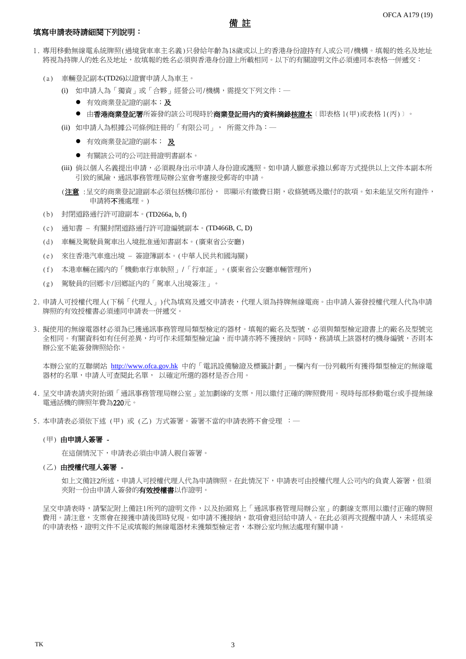## 填寫申請表時請細閱下列說明:

1. 專用移動無線電系統牌照(過境貨車車主名義)只發給年齡為18歲或以上的香港身份證持有人或公司/機構。填報的姓名及地址 將視為持牌人的姓名及地址,故填報的姓名必須與香港身份證上所載相同。以下的有關證明文件必須連同本表格一併遞交:

備 註

- (a) 車輛登記副本(TD26)以證實申請人為車主。
	- (i) 如申請人為「獨資」或「合夥」經營公司/機構,需提交下列文件:─
		- 有效商業登記證的副本;及
		- 由**香港商業登記署**所簽發的該公司現時於**商業登記冊內的資料摘錄<u>核證本</u>〔即表格 1(甲)或表格 1(丙)〕。**
	- (ii) 如申請人為根據公司條例註冊的「有限公司」, 所需文件為:─
		- **有效商業登記證的副本; 及**
		- 有關該公司的公司註冊證明書副本。
	- (iii) 倘以個人名義提出申請,必須親身出示申請人身份證或護照。如申請人願意承擔以郵寄方式提供以上文件本副本所 引致的風險,通訊事務管理局辦公室會考慮接受郵寄的申請。
	- (注意:呈交的商業登記證副本必須包括機印部份, 即顯示有繳費日期,收條號碼及繳付的款項。如未能呈交所有證件, 申請將不獲處理。)
- (b) 封閉道路通行許可證副本。(TD266a, b, f)
- (c) 通知書 有關封閉道路通行許可證編號副本。(TD466B, C, D)
- (d) 車輛及駕駛員駕車出入境批准通知書副本。(廣東省公安廳)
- (e) 來往香港汽車進出境 簽證簿副本。(中華人民共和國海關)
- (f) 本港車輛在國內的「機動車行車執照」/「行車証」。(廣東省公安廳車輛管理所)
- (g) 駕駛員的回鄉卡/回鄉証內的「駕車入出境簽注」。
- 2. 申請人可授權代理人(下稱「代理人」)代為填寫及遞交申請表,代理人須為持牌無線電商。由申請人簽發授權代理人代為申請 牌照的有效授權書必須連同申請表一併遞交。
- 3. 擬使用的無線電器材必須為已獲通訊事務管理局類型檢定的器材。填報的廠名及型號, 必須與類型檢定證書上的廠名及型號完 全相同。有關資料如有任何差異,均可作未經類型檢定論,而申請亦將不獲接納。同時,務請填上該器材的機身編號,否則本 辦公室不能簽發牌照給你。

本辦公室的互聯網站 [http://www.ofca.gov.hk](http://www.ofta.gov.hk/)</u> 中的「電訊設備驗證及標籤計劃」一欄內有一份列載所有獲得類型檢定的無線電 器材的名單,申請人可查閱此名單, 以確定所選的器材是否合用。

- 4. 呈交申請表請夾附抬頭「通訊事務管理局辦公室」並加劃線的支票,用以繳付正確的牌照費用。現時每部移動電台或手提無線 電通話機的牌照年費為220元。
- 5. 本申請表必須依下述 (甲) 或 (乙) 方式簽署。簽署不當的申請表將不會受理 : 一

#### (甲) 由申請人簽署 -

在這個情況下,申請表必須由申請人親自簽署。

## (乙) 由授權代理人簽署 -

如上文備註2所述,申請人可授權代理人代為申請牌照。在此情況下,申請表可由授權代理人公司內的負責人簽署,但須 夾附一份由申請人簽發的**有效授權書**以作證明。

呈交申請表時,請緊記附上備註1所列的證明文件,以及抬頭寫上「通訊事務管理局辦公室」的劃線支票用以繳付正確的牌照 費用。請注意,支票會在接獲申請後即時兌現。如申請不獲接納,款項會退回給申請人。在此必須再次提醒申請人,未經填妥 的申請表格,證明文件不足或填報的無線電器材未獲類型檢定者,本辦公室均無法處理有關申請。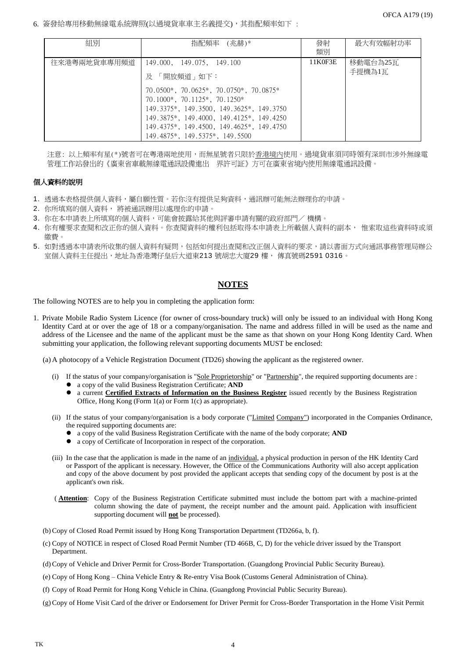6. 簽發給專用移動無線電系統牌照(以過境貨車車主名義提交),其指配頻率如下 :

| 組別           | 指配頻率 (兆赫)*                                                                                                                                                                                                                                       | 發射      | 最大有效幅射功率           |  |
|--------------|--------------------------------------------------------------------------------------------------------------------------------------------------------------------------------------------------------------------------------------------------|---------|--------------------|--|
|              |                                                                                                                                                                                                                                                  | 類別      |                    |  |
| 往來港粵兩地貨車專用頻道 | 149.000, 149.075, 149.100<br>「開放頻道」如下:<br>及                                                                                                                                                                                                      | 11K0F3E | 移動電台為25瓦<br>手提機為1瓦 |  |
|              | $70.0500*, 70.0625*, 70.0750*, 70.0875*$<br>$70.1000*, 70.1125*, 70.1250*$<br>149.3375*, 149.3500, 149.3625*, 149.3750<br>149.3875*, 149.4000, 149.4125*, 149.4250<br>149.4375*, 149.4500, 149.4625*, 149.4750<br>149.4875*, 149.5375*, 149.5500 |         |                    |  |

注意: 以上頻率有星(\*)號者可在粵港兩地使用,而無星號者只限於<u>香港境內</u>使用。過境貨車須同時領有深圳市涉外無線電 管理工作站發出的《廣東省車載無線電通訊設備進出 界許可証》方可在廣東省境內使用無線電通訊設備。

## 個人資料的說明

- 1. 透過本表格提供個人資料,屬自願性質。若你沒有提供足夠資料,通訊辦可能無法辦理你的申請。
- 2. 你所填寫的個人資料, 將被通訊辦用以處理你的申請。
- 3. 你在本申請表上所填寫的個人資料,可能會披露給其他與評審申請有關的政府部門/機構。
- 4. 你有權要求查閱和改正你的個人資料。你查閱資料的權利包括取得本申請表上所載個人資料的副本, 惟索取這些資料時或須 繳費。
- 5. 如對透過本申請表所收集的個人資料有疑問,包括如何提出查閱和改正個人資料的要求,請以書面方式向通訊事務管理局辦公 室個人資料主任提出,地址為香港灣仔皇后大道東213 號胡忠大廈29 樓, 傳真號碼2591 0316。

# **NOTES**

The following NOTES are to help you in completing the application form:

1. Private Mobile Radio System Licence (for owner of cross-boundary truck) will only be issued to an individual with Hong Kong Identity Card at or over the age of 18 or a company/organisation. The name and address filled in will be used as the name and address of the Licensee and the name of the applicant must be the same as that shown on your Hong Kong Identity Card. When submitting your application, the following relevant supporting documents MUST be enclosed:

(a) A photocopy of a Vehicle Registration Document (TD26) showing the applicant as the registered owner.

- (i) If the status of your company/organisation is "Sole Proprietorship" or "Partnership", the required supporting documents are : a copy of the valid Business Registration Certificate; **AND**
	- a current **Certified Extracts of Information on the Business Register** issued recently by the Business Registration Office, Hong Kong (Form 1(a) or Form 1(c) as appropriate).
- (ii) If the status of your company/organisation is a body corporate ("Limited Company") incorporated in the Companies Ordinance, the required supporting documents are:
	- a copy of the valid Business Registration Certificate with the name of the body corporate; **AND**
	- a copy of Certificate of Incorporation in respect of the corporation.
- (iii) In the case that the application is made in the name of an individual, a physical production in person of the HK Identity Card or Passport of the applicant is necessary. However, the Office of the Communications Authority will also accept application and copy of the above document by post provided the applicant accepts that sending copy of the document by post is at the applicant's own risk.
- ( **Attention**: Copy of the Business Registration Certificate submitted must include the bottom part with a machine-printed column showing the date of payment, the receipt number and the amount paid. Application with insufficient supporting document will **not** be processed).
- (b)Copy of Closed Road Permit issued by Hong Kong Transportation Department (TD266a, b, f).
- (c) Copy of NOTICE in respect of Closed Road Permit Number (TD 466B, C, D) for the vehicle driver issued by the Transport Department.
- (d)Copy of Vehicle and Driver Permit for Cross-Border Transportation. (Guangdong Provincial Public Security Bureau).
- (e) Copy of Hong Kong China Vehicle Entry & Re-entry Visa Book (Customs General Administration of China).
- (f) Copy of Road Permit for Hong Kong Vehicle in China. (Guangdong Provincial Public Security Bureau).
- (g) Copy of Home Visit Card of the driver or Endorsement for Driver Permit for Cross-Border Transportation in the Home Visit Permit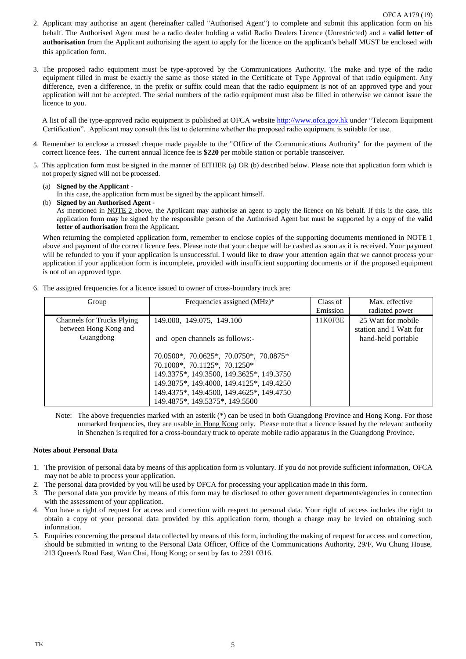- 2. Applicant may authorise an agent (hereinafter called "Authorised Agent") to complete and submit this application form on his behalf. The Authorised Agent must be a radio dealer holding a valid Radio Dealers Licence (Unrestricted) and a **valid letter of authorisation** from the Applicant authorising the agent to apply for the licence on the applicant's behalf MUST be enclosed with this application form.
- 3. The proposed radio equipment must be type-approved by the Communications Authority. The make and type of the radio equipment filled in must be exactly the same as those stated in the Certificate of Type Approval of that radio equipment. Any difference, even a difference, in the prefix or suffix could mean that the radio equipment is not of an approved type and your application will not be accepted. The serial numbers of the radio equipment must also be filled in otherwise we cannot issue the licence to you.

A list of all the type-approved radio equipment is published at OFCA website [http://www.ofca.gov.hk](http://www.gov.hk/) under "Telecom Equipment Certification". Applicant may consult this list to determine whether the proposed radio equipment is suitable for use.

- 4. Remember to enclose a crossed cheque made payable to the "Office of the Communications Authority" for the payment of the correct licence fees. The current annual licence fee is **\$220** per mobile station or portable transceiver.
- 5. This application form must be signed in the manner of EITHER (a) OR (b) described below. Please note that application form which is not properly signed will not be processed.
	- (a) **Signed by the Applicant** -

In this case, the application form must be signed by the applicant himself.

(b) **Signed by an Authorised Agent** -

As mentioned in NOTE 2 above, the Applicant may authorise an agent to apply the licence on his behalf. If this is the case, this application form may be signed by the responsible person of the Authorised Agent but must be supported by a copy of the **valid letter of authorisation** from the Applicant.

When returning the completed application form, remember to enclose copies of the supporting documents mentioned in NOTE 1 above and payment of the correct licence fees. Please note that your cheque will be cashed as soon as it is received. Your payment will be refunded to you if your application is unsuccessful. I would like to draw your attention again that we cannot process your application if your application form is incomplete, provided with insufficient supporting documents or if the proposed equipment is not of an approved type.

6. The assigned frequencies for a licence issued to owner of cross-boundary truck are:

| Group                             | Frequencies assigned (MHz)*              | Class of | Max. effective         |
|-----------------------------------|------------------------------------------|----------|------------------------|
|                                   |                                          | Emission | radiated power         |
| <b>Channels for Trucks Plying</b> | 149.000, 149.075, 149.100                | 11K0F3E  | 25 Watt for mobile     |
| between Hong Kong and             |                                          |          | station and 1 Watt for |
| Guangdong                         | and open channels as follows:-           |          | hand-held portable     |
|                                   |                                          |          |                        |
|                                   | $70.0500*, 70.0625*, 70.0750*, 70.0875*$ |          |                        |
|                                   | 70.1000*, 70.1125*, 70.1250*             |          |                        |
|                                   | 149.3375*, 149.3500, 149.3625*, 149.3750 |          |                        |
|                                   | 149.3875*, 149.4000, 149.4125*, 149.4250 |          |                        |
|                                   | 149.4375*, 149.4500, 149.4625*, 149.4750 |          |                        |
|                                   | 149.4875*, 149.5375*, 149.5500           |          |                        |

Note: The above frequencies marked with an asterik (\*) can be used in both Guangdong Province and Hong Kong. For those unmarked frequencies, they are usable in Hong Kong only. Please note that a licence issued by the relevant authority in Shenzhen is required for a cross-boundary truck to operate mobile radio apparatus in the Guangdong Province.

#### **Notes about Personal Data**

- 1. The provision of personal data by means of this application form is voluntary. If you do not provide sufficient information, OFCA may not be able to process your application.
- 2. The personal data provided by you will be used by OFCA for processing your application made in this form.
- 3. The personal data you provide by means of this form may be disclosed to other government departments/agencies in connection with the assessment of your application.
- 4. You have a right of request for access and correction with respect to personal data. Your right of access includes the right to obtain a copy of your personal data provided by this application form, though a charge may be levied on obtaining such information.
- 5. Enquiries concerning the personal data collected by means of this form, including the making of request for access and correction, should be submitted in writing to the Personal Data Officer, Office of the Communications Authority, 29/F, Wu Chung House, 213 Queen's Road East, Wan Chai, Hong Kong; or sent by fax to 2591 0316.